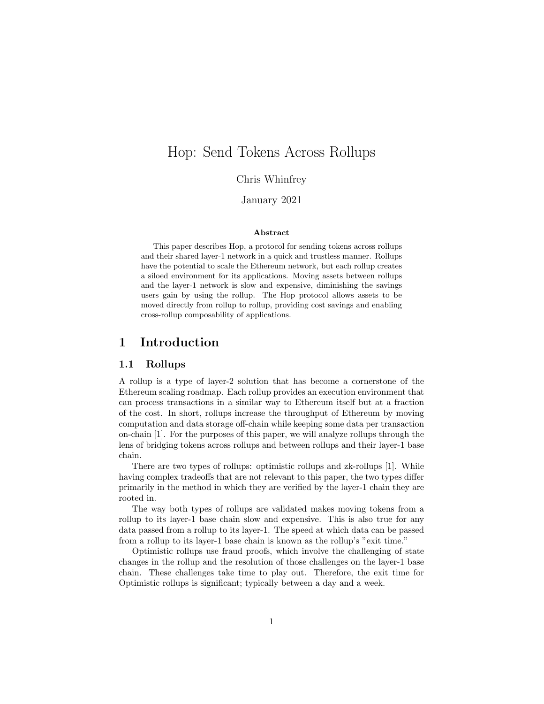# Hop: Send Tokens Across Rollups

Chris Whinfrey

## January 2021

#### Abstract

This paper describes Hop, a protocol for sending tokens across rollups and their shared layer-1 network in a quick and trustless manner. Rollups have the potential to scale the Ethereum network, but each rollup creates a siloed environment for its applications. Moving assets between rollups and the layer-1 network is slow and expensive, diminishing the savings users gain by using the rollup. The Hop protocol allows assets to be moved directly from rollup to rollup, providing cost savings and enabling cross-rollup composability of applications.

## 1 Introduction

#### 1.1 Rollups

A rollup is a type of layer-2 solution that has become a cornerstone of the Ethereum scaling roadmap. Each rollup provides an execution environment that can process transactions in a similar way to Ethereum itself but at a fraction of the cost. In short, rollups increase the throughput of Ethereum by moving computation and data storage off-chain while keeping some data per transaction on-chain [1]. For the purposes of this paper, we will analyze rollups through the lens of bridging tokens across rollups and between rollups and their layer-1 base chain.

There are two types of rollups: optimistic rollups and zk-rollups [1]. While having complex tradeoffs that are not relevant to this paper, the two types differ primarily in the method in which they are verified by the layer-1 chain they are rooted in.

The way both types of rollups are validated makes moving tokens from a rollup to its layer-1 base chain slow and expensive. This is also true for any data passed from a rollup to its layer-1. The speed at which data can be passed from a rollup to its layer-1 base chain is known as the rollup's "exit time."

Optimistic rollups use fraud proofs, which involve the challenging of state changes in the rollup and the resolution of those challenges on the layer-1 base chain. These challenges take time to play out. Therefore, the exit time for Optimistic rollups is significant; typically between a day and a week.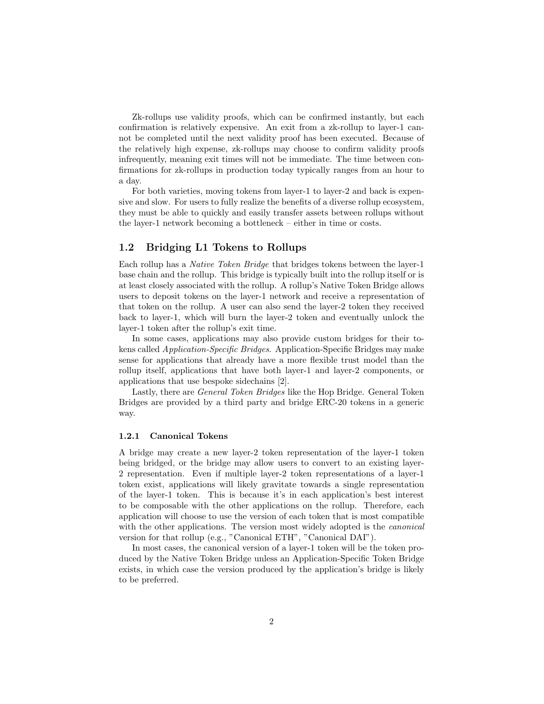Zk-rollups use validity proofs, which can be confirmed instantly, but each confirmation is relatively expensive. An exit from a zk-rollup to layer-1 cannot be completed until the next validity proof has been executed. Because of the relatively high expense, zk-rollups may choose to confirm validity proofs infrequently, meaning exit times will not be immediate. The time between confirmations for zk-rollups in production today typically ranges from an hour to a day.

For both varieties, moving tokens from layer-1 to layer-2 and back is expensive and slow. For users to fully realize the benefits of a diverse rollup ecosystem, they must be able to quickly and easily transfer assets between rollups without the layer-1 network becoming a bottleneck – either in time or costs.

## 1.2 Bridging L1 Tokens to Rollups

Each rollup has a Native Token Bridge that bridges tokens between the layer-1 base chain and the rollup. This bridge is typically built into the rollup itself or is at least closely associated with the rollup. A rollup's Native Token Bridge allows users to deposit tokens on the layer-1 network and receive a representation of that token on the rollup. A user can also send the layer-2 token they received back to layer-1, which will burn the layer-2 token and eventually unlock the layer-1 token after the rollup's exit time.

In some cases, applications may also provide custom bridges for their tokens called Application-Specific Bridges. Application-Specific Bridges may make sense for applications that already have a more flexible trust model than the rollup itself, applications that have both layer-1 and layer-2 components, or applications that use bespoke sidechains [2].

Lastly, there are General Token Bridges like the Hop Bridge. General Token Bridges are provided by a third party and bridge ERC-20 tokens in a generic way.

#### 1.2.1 Canonical Tokens

A bridge may create a new layer-2 token representation of the layer-1 token being bridged, or the bridge may allow users to convert to an existing layer-2 representation. Even if multiple layer-2 token representations of a layer-1 token exist, applications will likely gravitate towards a single representation of the layer-1 token. This is because it's in each application's best interest to be composable with the other applications on the rollup. Therefore, each application will choose to use the version of each token that is most compatible with the other applications. The version most widely adopted is the *canonical* version for that rollup (e.g., "Canonical ETH", "Canonical DAI").

In most cases, the canonical version of a layer-1 token will be the token produced by the Native Token Bridge unless an Application-Specific Token Bridge exists, in which case the version produced by the application's bridge is likely to be preferred.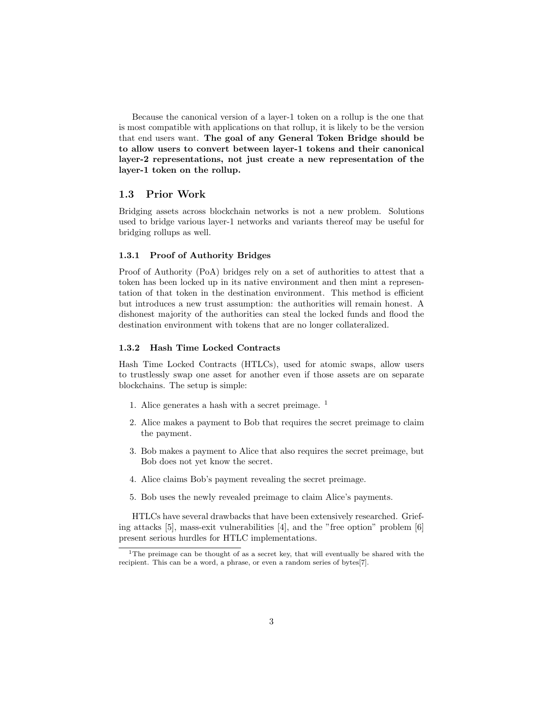Because the canonical version of a layer-1 token on a rollup is the one that is most compatible with applications on that rollup, it is likely to be the version that end users want. The goal of any General Token Bridge should be to allow users to convert between layer-1 tokens and their canonical layer-2 representations, not just create a new representation of the layer-1 token on the rollup.

#### 1.3 Prior Work

Bridging assets across blockchain networks is not a new problem. Solutions used to bridge various layer-1 networks and variants thereof may be useful for bridging rollups as well.

#### 1.3.1 Proof of Authority Bridges

Proof of Authority (PoA) bridges rely on a set of authorities to attest that a token has been locked up in its native environment and then mint a representation of that token in the destination environment. This method is efficient but introduces a new trust assumption: the authorities will remain honest. A dishonest majority of the authorities can steal the locked funds and flood the destination environment with tokens that are no longer collateralized.

### 1.3.2 Hash Time Locked Contracts

Hash Time Locked Contracts (HTLCs), used for atomic swaps, allow users to trustlessly swap one asset for another even if those assets are on separate blockchains. The setup is simple:

- 1. Alice generates a hash with a secret preimage. <sup>1</sup>
- 2. Alice makes a payment to Bob that requires the secret preimage to claim the payment.
- 3. Bob makes a payment to Alice that also requires the secret preimage, but Bob does not yet know the secret.
- 4. Alice claims Bob's payment revealing the secret preimage.
- 5. Bob uses the newly revealed preimage to claim Alice's payments.

HTLCs have several drawbacks that have been extensively researched. Griefing attacks [5], mass-exit vulnerabilities [4], and the "free option" problem [6] present serious hurdles for HTLC implementations.

<sup>&</sup>lt;sup>1</sup>The preimage can be thought of as a secret key, that will eventually be shared with the recipient. This can be a word, a phrase, or even a random series of bytes[7].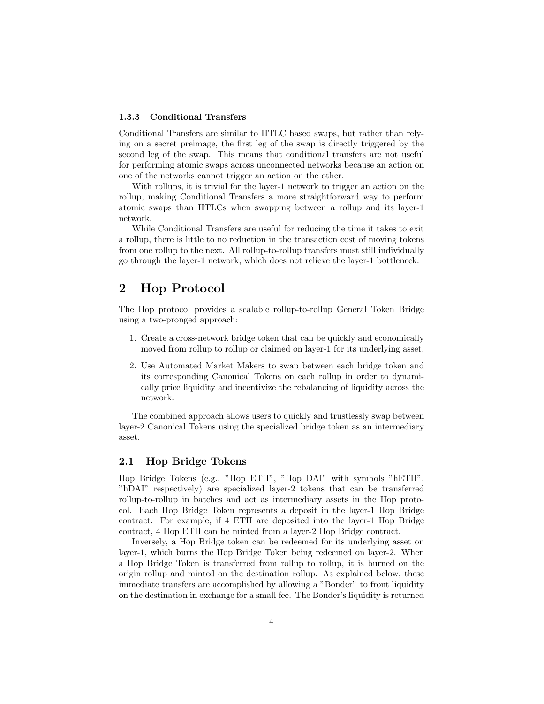#### 1.3.3 Conditional Transfers

Conditional Transfers are similar to HTLC based swaps, but rather than relying on a secret preimage, the first leg of the swap is directly triggered by the second leg of the swap. This means that conditional transfers are not useful for performing atomic swaps across unconnected networks because an action on one of the networks cannot trigger an action on the other.

With rollups, it is trivial for the layer-1 network to trigger an action on the rollup, making Conditional Transfers a more straightforward way to perform atomic swaps than HTLCs when swapping between a rollup and its layer-1 network.

While Conditional Transfers are useful for reducing the time it takes to exit a rollup, there is little to no reduction in the transaction cost of moving tokens from one rollup to the next. All rollup-to-rollup transfers must still individually go through the layer-1 network, which does not relieve the layer-1 bottleneck.

# 2 Hop Protocol

The Hop protocol provides a scalable rollup-to-rollup General Token Bridge using a two-pronged approach:

- 1. Create a cross-network bridge token that can be quickly and economically moved from rollup to rollup or claimed on layer-1 for its underlying asset.
- 2. Use Automated Market Makers to swap between each bridge token and its corresponding Canonical Tokens on each rollup in order to dynamically price liquidity and incentivize the rebalancing of liquidity across the network.

The combined approach allows users to quickly and trustlessly swap between layer-2 Canonical Tokens using the specialized bridge token as an intermediary asset.

## 2.1 Hop Bridge Tokens

Hop Bridge Tokens (e.g., "Hop ETH", "Hop DAI" with symbols "hETH", "hDAI" respectively) are specialized layer-2 tokens that can be transferred rollup-to-rollup in batches and act as intermediary assets in the Hop protocol. Each Hop Bridge Token represents a deposit in the layer-1 Hop Bridge contract. For example, if 4 ETH are deposited into the layer-1 Hop Bridge contract, 4 Hop ETH can be minted from a layer-2 Hop Bridge contract.

Inversely, a Hop Bridge token can be redeemed for its underlying asset on layer-1, which burns the Hop Bridge Token being redeemed on layer-2. When a Hop Bridge Token is transferred from rollup to rollup, it is burned on the origin rollup and minted on the destination rollup. As explained below, these immediate transfers are accomplished by allowing a "Bonder" to front liquidity on the destination in exchange for a small fee. The Bonder's liquidity is returned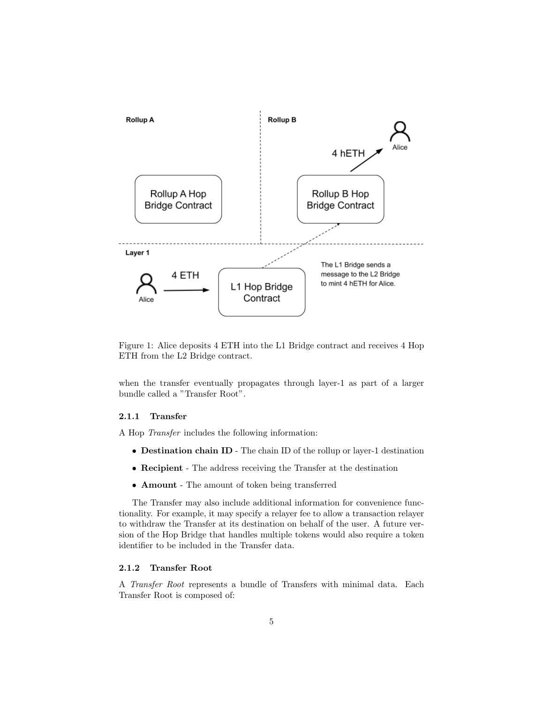

Figure 1: Alice deposits 4 ETH into the L1 Bridge contract and receives 4 Hop ETH from the L2 Bridge contract.

when the transfer eventually propagates through layer-1 as part of a larger bundle called a "Transfer Root".

#### 2.1.1 Transfer

A Hop Transfer includes the following information:

- Destination chain ID The chain ID of the rollup or layer-1 destination
- Recipient The address receiving the Transfer at the destination
- Amount The amount of token being transferred

The Transfer may also include additional information for convenience functionality. For example, it may specify a relayer fee to allow a transaction relayer to withdraw the Transfer at its destination on behalf of the user. A future version of the Hop Bridge that handles multiple tokens would also require a token identifier to be included in the Transfer data.

### 2.1.2 Transfer Root

A Transfer Root represents a bundle of Transfers with minimal data. Each Transfer Root is composed of: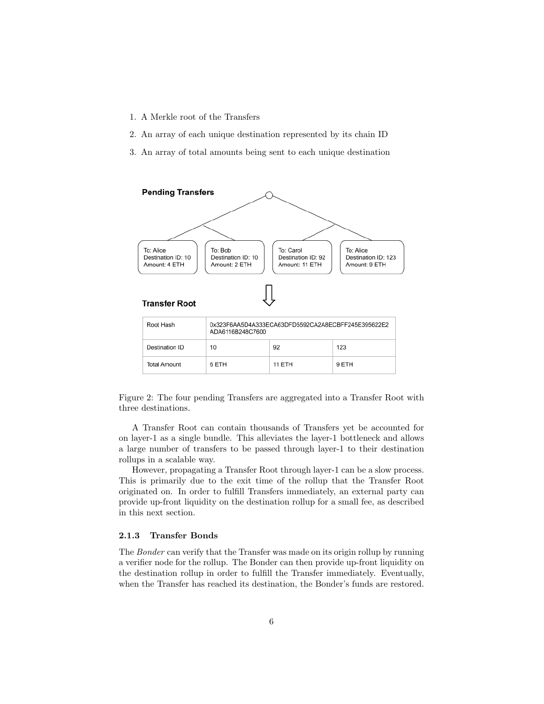- 1. A Merkle root of the Transfers
- 2. An array of each unique destination represented by its chain ID
- 3. An array of total amounts being sent to each unique destination



Figure 2: The four pending Transfers are aggregated into a Transfer Root with three destinations.

A Transfer Root can contain thousands of Transfers yet be accounted for on layer-1 as a single bundle. This alleviates the layer-1 bottleneck and allows a large number of transfers to be passed through layer-1 to their destination rollups in a scalable way.

However, propagating a Transfer Root through layer-1 can be a slow process. This is primarily due to the exit time of the rollup that the Transfer Root originated on. In order to fulfill Transfers immediately, an external party can provide up-front liquidity on the destination rollup for a small fee, as described in this next section.

#### 2.1.3 Transfer Bonds

The Bonder can verify that the Transfer was made on its origin rollup by running a verifier node for the rollup. The Bonder can then provide up-front liquidity on the destination rollup in order to fulfill the Transfer immediately. Eventually, when the Transfer has reached its destination, the Bonder's funds are restored.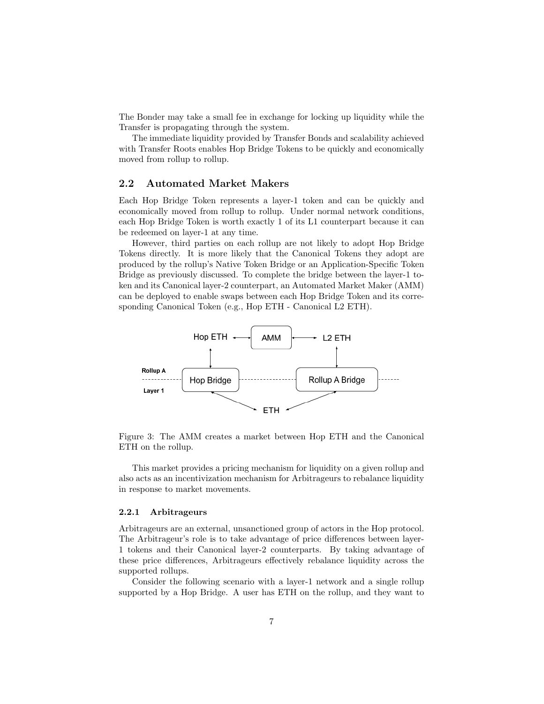The Bonder may take a small fee in exchange for locking up liquidity while the Transfer is propagating through the system.

The immediate liquidity provided by Transfer Bonds and scalability achieved with Transfer Roots enables Hop Bridge Tokens to be quickly and economically moved from rollup to rollup.

#### 2.2 Automated Market Makers

Each Hop Bridge Token represents a layer-1 token and can be quickly and economically moved from rollup to rollup. Under normal network conditions, each Hop Bridge Token is worth exactly 1 of its L1 counterpart because it can be redeemed on layer-1 at any time.

However, third parties on each rollup are not likely to adopt Hop Bridge Tokens directly. It is more likely that the Canonical Tokens they adopt are produced by the rollup's Native Token Bridge or an Application-Specific Token Bridge as previously discussed. To complete the bridge between the layer-1 token and its Canonical layer-2 counterpart, an Automated Market Maker (AMM) can be deployed to enable swaps between each Hop Bridge Token and its corresponding Canonical Token (e.g., Hop ETH - Canonical L2 ETH).



Figure 3: The AMM creates a market between Hop ETH and the Canonical ETH on the rollup.

This market provides a pricing mechanism for liquidity on a given rollup and also acts as an incentivization mechanism for Arbitrageurs to rebalance liquidity in response to market movements.

#### 2.2.1 Arbitrageurs

Arbitrageurs are an external, unsanctioned group of actors in the Hop protocol. The Arbitrageur's role is to take advantage of price differences between layer-1 tokens and their Canonical layer-2 counterparts. By taking advantage of these price differences, Arbitrageurs effectively rebalance liquidity across the supported rollups.

Consider the following scenario with a layer-1 network and a single rollup supported by a Hop Bridge. A user has ETH on the rollup, and they want to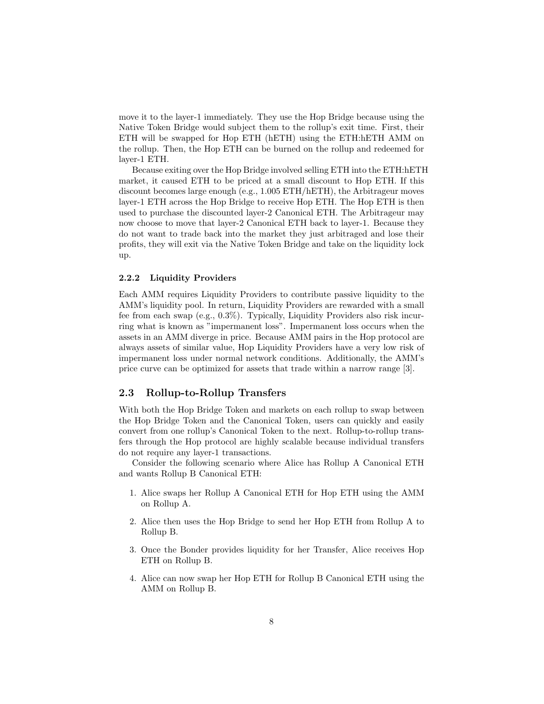move it to the layer-1 immediately. They use the Hop Bridge because using the Native Token Bridge would subject them to the rollup's exit time. First, their ETH will be swapped for Hop ETH (hETH) using the ETH:hETH AMM on the rollup. Then, the Hop ETH can be burned on the rollup and redeemed for layer-1 ETH.

Because exiting over the Hop Bridge involved selling ETH into the ETH:hETH market, it caused ETH to be priced at a small discount to Hop ETH. If this discount becomes large enough (e.g., 1.005 ETH/hETH), the Arbitrageur moves layer-1 ETH across the Hop Bridge to receive Hop ETH. The Hop ETH is then used to purchase the discounted layer-2 Canonical ETH. The Arbitrageur may now choose to move that layer-2 Canonical ETH back to layer-1. Because they do not want to trade back into the market they just arbitraged and lose their profits, they will exit via the Native Token Bridge and take on the liquidity lock up.

#### 2.2.2 Liquidity Providers

Each AMM requires Liquidity Providers to contribute passive liquidity to the AMM's liquidity pool. In return, Liquidity Providers are rewarded with a small fee from each swap (e.g., 0.3%). Typically, Liquidity Providers also risk incurring what is known as "impermanent loss". Impermanent loss occurs when the assets in an AMM diverge in price. Because AMM pairs in the Hop protocol are always assets of similar value, Hop Liquidity Providers have a very low risk of impermanent loss under normal network conditions. Additionally, the AMM's price curve can be optimized for assets that trade within a narrow range [3].

#### 2.3 Rollup-to-Rollup Transfers

With both the Hop Bridge Token and markets on each rollup to swap between the Hop Bridge Token and the Canonical Token, users can quickly and easily convert from one rollup's Canonical Token to the next. Rollup-to-rollup transfers through the Hop protocol are highly scalable because individual transfers do not require any layer-1 transactions.

Consider the following scenario where Alice has Rollup A Canonical ETH and wants Rollup B Canonical ETH:

- 1. Alice swaps her Rollup A Canonical ETH for Hop ETH using the AMM on Rollup A.
- 2. Alice then uses the Hop Bridge to send her Hop ETH from Rollup A to Rollup B.
- 3. Once the Bonder provides liquidity for her Transfer, Alice receives Hop ETH on Rollup B.
- 4. Alice can now swap her Hop ETH for Rollup B Canonical ETH using the AMM on Rollup B.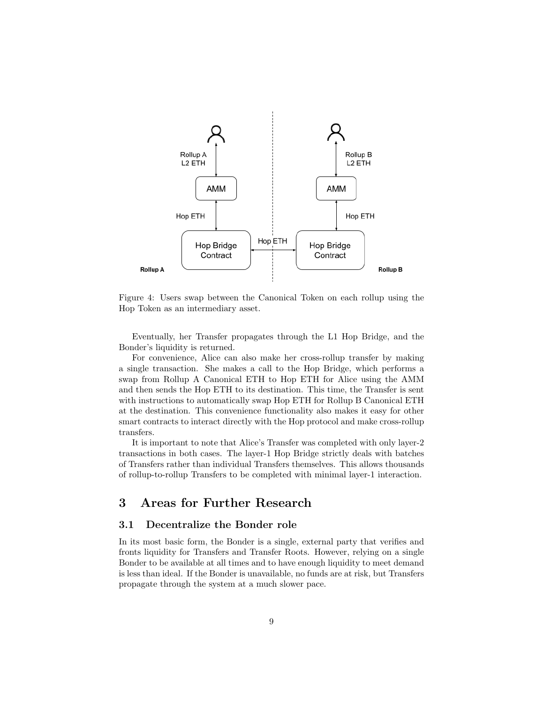

Figure 4: Users swap between the Canonical Token on each rollup using the Hop Token as an intermediary asset.

Eventually, her Transfer propagates through the L1 Hop Bridge, and the Bonder's liquidity is returned.

For convenience, Alice can also make her cross-rollup transfer by making a single transaction. She makes a call to the Hop Bridge, which performs a swap from Rollup A Canonical ETH to Hop ETH for Alice using the AMM and then sends the Hop ETH to its destination. This time, the Transfer is sent with instructions to automatically swap Hop ETH for Rollup B Canonical ETH at the destination. This convenience functionality also makes it easy for other smart contracts to interact directly with the Hop protocol and make cross-rollup transfers.

It is important to note that Alice's Transfer was completed with only layer-2 transactions in both cases. The layer-1 Hop Bridge strictly deals with batches of Transfers rather than individual Transfers themselves. This allows thousands of rollup-to-rollup Transfers to be completed with minimal layer-1 interaction.

# 3 Areas for Further Research

#### 3.1 Decentralize the Bonder role

In its most basic form, the Bonder is a single, external party that verifies and fronts liquidity for Transfers and Transfer Roots. However, relying on a single Bonder to be available at all times and to have enough liquidity to meet demand is less than ideal. If the Bonder is unavailable, no funds are at risk, but Transfers propagate through the system at a much slower pace.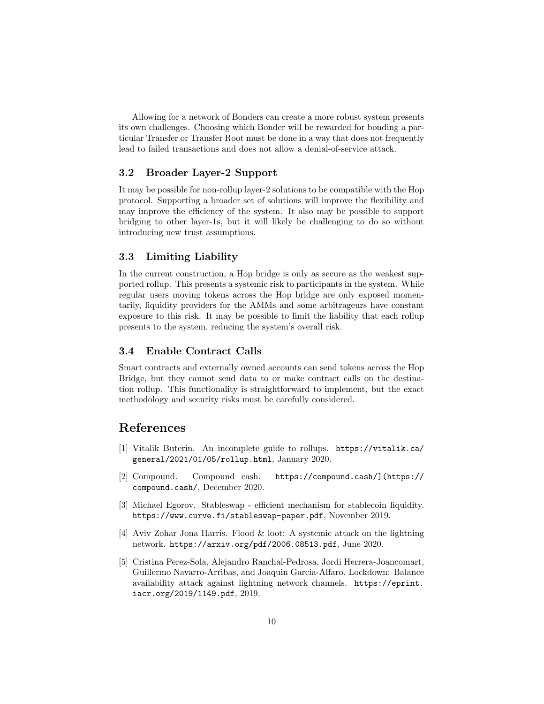Allowing for a network of Bonders can create a more robust system presents its own challenges. Choosing which Bonder will be rewarded for bonding a particular Transfer or Transfer Root must be done in a way that does not frequently lead to failed transactions and does not allow a denial-of-service attack.

## 3.2 Broader Layer-2 Support

It may be possible for non-rollup layer-2 solutions to be compatible with the Hop protocol. Supporting a broader set of solutions will improve the flexibility and may improve the efficiency of the system. It also may be possible to support bridging to other layer-1s, but it will likely be challenging to do so without introducing new trust assumptions.

## 3.3 Limiting Liability

In the current construction, a Hop bridge is only as secure as the weakest supported rollup. This presents a systemic risk to participants in the system. While regular users moving tokens across the Hop bridge are only exposed momentarily, liquidity providers for the AMMs and some arbitrageurs have constant exposure to this risk. It may be possible to limit the liability that each rollup presents to the system, reducing the system's overall risk.

## 3.4 Enable Contract Calls

Smart contracts and externally owned accounts can send tokens across the Hop Bridge, but they cannot send data to or make contract calls on the destination rollup. This functionality is straightforward to implement, but the exact methodology and security risks must be carefully considered.

## References

- [1] Vitalik Buterin. An incomplete guide to rollups. https://vitalik.ca/ general/2021/01/05/rollup.html, January 2020.
- [2] Compound. Compound cash. https://compound.cash/](https:// compound.cash/, December 2020.
- [3] Michael Egorov. Stableswap efficient mechanism for stablecoin liquidity. https://www.curve.fi/stableswap-paper.pdf, November 2019.
- [4] Aviv Zohar Jona Harris. Flood & loot: A systemic attack on the lightning network. https://arxiv.org/pdf/2006.08513.pdf, June 2020.
- [5] Cristina Perez-Sola, Alejandro Ranchal-Pedrosa, Jordi Herrera-Joancomart, Guillermo Navarro-Arribas, and Joaquin Garcia-Alfaro. Lockdown: Balance availability attack against lightning network channels. https://eprint. iacr.org/2019/1149.pdf, 2019.